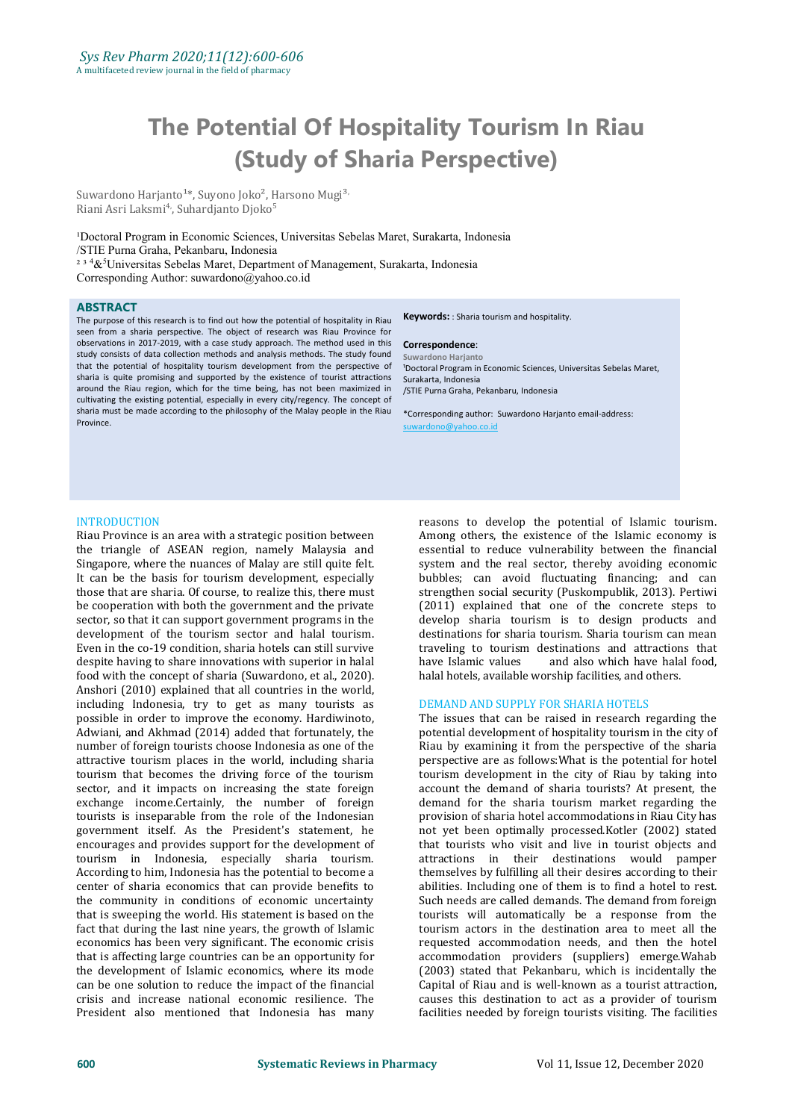# **The Potential Of Hospitality Tourism In Riau (Study of Sharia Perspective)**

Suwardono Harjanto<sup>1\*</sup>, Suyono Joko<sup>2</sup>, Harsono Mugi<sup>3</sup> , Riani Asri Laksmi<sup>4</sup>, Suhardjanto Djoko<sup>5</sup> 5

<sup>1</sup>Doctoral Program in Economic Sciences, Universitas Sebelas Maret, Surakarta, Indonesia /STIE Purna Graha, Pekanbaru, Indonesia  $234\&$ <sup>5</sup>Universitas Sebelas Maret, Department of Management, Surakarta, Indonesia Corresponding Author: suwardono@yahoo.co.id

#### **ABSTRACT**

The purpose of this research is to find out how the potential of hospitality in Riau seen from a sharia perspective. The object of research was Riau Province for observations in 2017-2019, with a case study approach. The method used in this study consists of data collection methods and analysis methods. The study found that the potential of hospitality tourism development from the perspective of sharia is quite promising and supported by the existence of tourist attractions around the Riau region, which for the time being, has not been maximized in cultivating the existing potential, especially in every city/regency. The concept of sharia must be made according to the philosophy of the Malay people in the Riau **Province** 

**Keywords:** : Sharia tourism and hospitality.

#### **Correspondence**:

**Suwardono Harjanto** <sup>1</sup>Doctoral Program in Economic Sciences, Universitas Sebelas Maret, Surakarta, Indonesia /STIE Purna Graha, Pekanbaru, Indonesia

\*Corresponding author: Suwardono Harjanto email-address: suwardono@yahoo.co.id

# INTRODUCTION

Riau Province is an area with a strategic position between the triangle of ASEAN region, namely Malaysia and Singapore, where the nuances of Malay are still quite felt. It can be the basis for tourism development, especially those that are sharia. Of course, to realize this, there must be cooperation with both the government and the private sector, so that it can support government programs in the development of the tourism sector and halal tourism. Even in the co-19 condition, sharia hotels can still survive traveling to tourism<br>despite having to share innovations with superior in halal have Islamic values despite having to share innovations with superior in halal food with the concept of sharia (Suwardono, et al., 2020). Anshori (2010) explained that all countries in the world, including Indonesia, try to get as many tourists as possible in order to improve the economy. Hardiwinoto, Adwiani, and Akhmad (2014) added that fortunately, the number of foreign tourists choose Indonesia as one of the attractive tourism places in the world, including sharia tourism that becomes the driving force of the tourism sector, and it impacts on increasing the state foreign exchange income.Certainly, the number of foreign tourists is inseparable from the role of the Indonesian government itself. As the President's statement, he encourages and provides support for the development of tourism in Indonesia, especially sharia tourism. According to him, Indonesia has the potential to become a center of sharia economics that can provide benefits to the community in conditions of economic uncertainty that is sweeping the world. His statement is based on the fact that during the last nine years, the growth of Islamic economics has been very significant. The economic crisis that is affecting large countries can be an opportunity for the development of Islamic economics, where its mode can be one solution to reduce the impact of the financial crisis and increase national economic resilience. The President also mentioned that Indonesia has many

reasons to develop the potential of Islamic tourism. Among others, the existence of the Islamic economy is essential to reduce vulnerability between the financial system and the real sector, thereby avoiding economic bubbles; can avoid fluctuating financing; and can strengthen social security (Puskompublik, 2013). Pertiwi (2011) explained that one of the concrete steps to develop sharia tourism is to design products and destinations for sharia tourism. Sharia tourism can mean traveling to tourism destinations and attractions that and also which have halal food, halal hotels, available worship facilities, and others.

#### DEMAND AND SUPPLY FOR SHARIA HOTELS

The issues that can be raised in research regarding the potential development of hospitality tourism in the city of Riau by examining it from the perspective of the sharia perspective are as follows:What is the potential for hotel tourism development in the city of Riau by taking into account the demand of sharia tourists? At present, the demand for the sharia tourism market regarding the provision of sharia hotel accommodations in Riau City has not yet been optimally processed.Kotler (2002) stated that tourists who visit and live in tourist objects and attractions in their destinations would pamper themselves by fulfilling all their desires according to their abilities. Including one of them is to find a hotel to rest. Such needs are called demands. The demand from foreign tourists will automatically be a response from the tourism actors in the destination area to meet all the requested accommodation needs, and then the hotel accommodation providers (suppliers) emerge.Wahab (2003) stated that Pekanbaru, which is incidentally the Capital of Riau and is well-known as a tourist attraction, causes this destination to act as a provider of tourism facilities needed by foreign tourists visiting. The facilities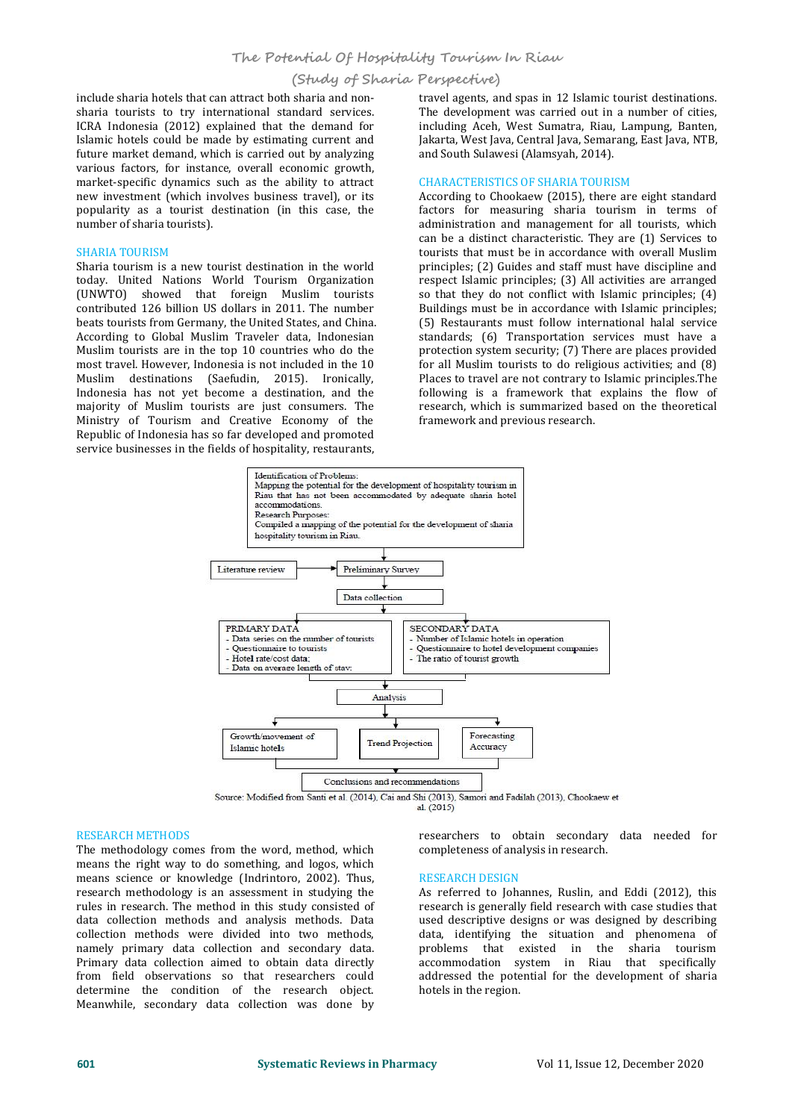# **(Study of Sharia Perspective)**

include sharia hotels that can attract both sharia and non sharia tourists to try international standard services. ICRA Indonesia (2012) explained that the demand for Islamic hotels could be made by estimating current and future market demand, which is carried out by analyzing various factors, for instance, overall economic growth, market-specific dynamics such as the ability to attract new investment (which involves business travel), or its popularity as a tourist destination (in this case, the number of sharia tourists).

# SHARIA TOURISM

Sharia tourism is a new tourist destination in the world today. United Nations World Tourism Organization (UNWTO) showed that foreign Muslim tourists contributed 126 billion US dollars in 2011. The number beats tourists from Germany, the United States, and China. According to Global Muslim Traveler data, Indonesian Muslim tourists are in the top 10 countries who do the most travel. However, Indonesia is not included in the 10 Muslim destinations (Saefudin, 2015). Ironically, Indonesia has not yet become a destination, and the majority of Muslim tourists are just consumers. The Ministry of Tourism and Creative Economy of the Republic of Indonesia has so far developed and promoted service businesses in the fields of hospitality, restaurants,

travel agents, and spas in 12 Islamic tourist destinations. The development was carried out in a number of cities, including Aceh, West Sumatra, Riau, Lampung, Banten, Jakarta, West Java, Central Java, Semarang, East Java, NTB, and South Sulawesi (Alamsyah, 2014).

# CHARACTERISTICS OF SHARIA TOURISM

According to Chookaew (2015), there are eight standard factors for measuring sharia tourism in terms of administration and management for all tourists, which can be a distinct characteristic. They are (1) Services to tourists that must be in accordance with overall Muslim principles; (2) Guides and staff must have discipline and respect Islamic principles; (3) All activities are arranged so that they do not conflict with Islamic principles; (4) Buildings must be in accordance with Islamic principles; (5) Restaurants must follow international halal service standards; (6) Transportation services must have a protection system security; (7) There are places provided for all Muslim tourists to do religious activities; and (8) Places to travel are not contrary to Islamic principles.The following is a framework that explains the flow of research, which is summarized based on the theoretical framework and previous research.



#### RESEARCH METHODS

The methodology comes from the word, method, which means the right way to do something, and logos, which means science or knowledge (Indrintoro, 2002). Thus, research methodology is an assessment in studying the rules in research. The method in this study consisted of data collection methods and analysis methods. Data collection methods were divided into two methods, namely primary data collection and secondary data. Primary data collection aimed to obtain data directly from field observations so that researchers could determine the condition of the research object. Meanwhile, secondary data collection was done by

# researchers to obtain secondary data needed for completeness of analysis in research.

#### RESEARCH DESIGN

As referred to Johannes, Ruslin, and Eddi (2012), this research is generally field research with case studies that used descriptive designs or was designed by describing data, identifying the situation and phenomena of problems that existed in the sharia tourism accommodation system in Riau that specifically addressed the potential for the development of sharia hotels in the region.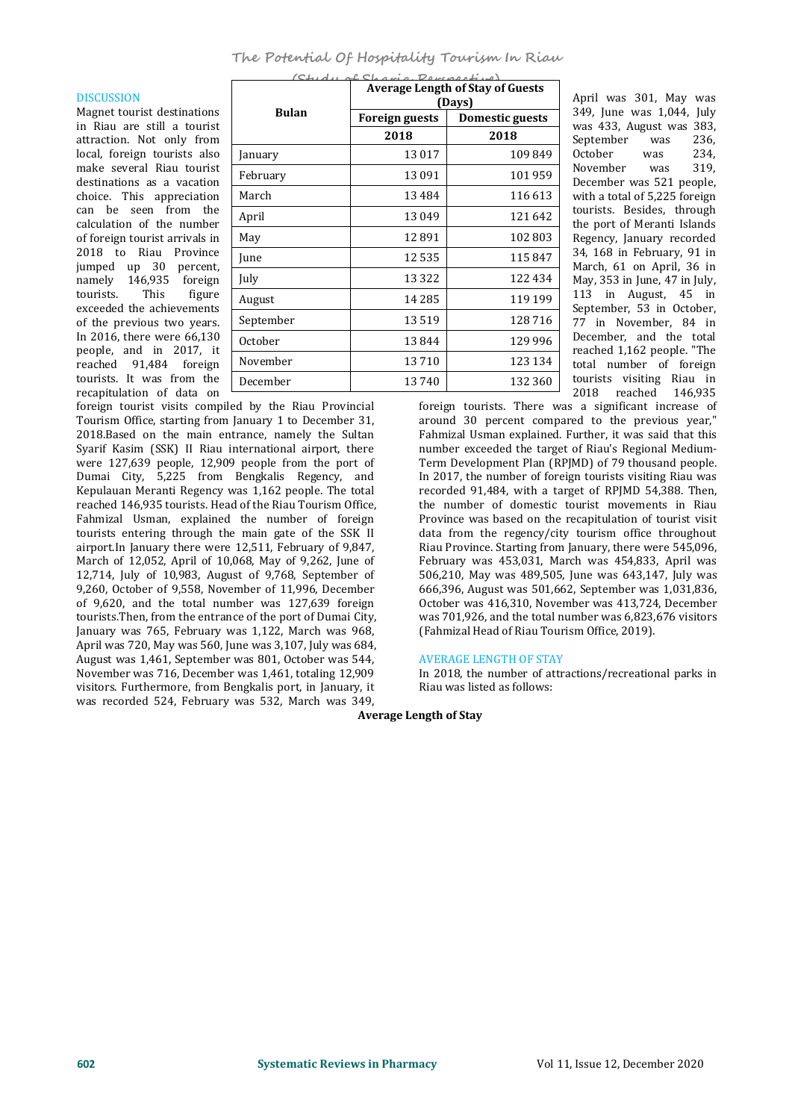$\mathbf{S}$ 

# DISCUSSION

Magnet tourist destinations in Riau are still a tourist attraction. Not only from local, foreign tourists also make several Riau tourist destinations as a vacation choice. This appreciation can be seen from the calculation of the number of foreign tourist arrivals in 2018 to Riau Province jumped up 30 percent, namely 146,935 foreign<br>tourists. This figure tourists. exceeded the achievements of the previous two years. In 2016, there were 66,130 people, and in 2017, it reached 91,484 foreign tourists. It was from the recapitulation of data on

|              |                       | <b>Average Length of Stay of Guests</b><br>(Days) | April was 301, May was                                         |
|--------------|-----------------------|---------------------------------------------------|----------------------------------------------------------------|
| <b>Bulan</b> | <b>Foreign guests</b> | <b>Domestic guests</b>                            | 349, June was 1,044, July<br>was 433, August was 383,          |
|              | 2018                  | 2018                                              | September<br>236.<br>was                                       |
| January      | 13017                 | 109849                                            | October<br>234,<br>was                                         |
| February     | 13 091                | 101959                                            | November<br>319,<br>was<br>December was 521 people,            |
| March        | 13484                 | 116 613                                           | with a total of 5,225 foreign                                  |
| April        | 13049                 | 121642                                            | tourists. Besides, through                                     |
| May          | 12891                 | 102 803                                           | the port of Meranti Islands<br>Regency, January recorded       |
| June         | 12535                 | 115847                                            | 34, 168 in February, 91 in                                     |
| July         | 13 3 2 2              | 122 434                                           | March, 61 on April, 36 in<br>May, $353$ in June, $47$ in July, |
| August       | 14 2 8 5              | 119 199                                           | 113 in August, 45 in                                           |
| September    | 13519                 | 128 716                                           | September, 53 in October,<br>77 in November, 84 in             |
| October      | 13844                 | 129 996                                           | December, and the total                                        |
| November     | 13710                 | 123 134                                           | reached 1,162 people. "The<br>total number of foreign          |
| December     | 13740                 | 132 360                                           | tourists visiting Riau in<br>2018 reached 146935               |

foreign tourist visits compiled by the Riau Provincial Tourism Office, starting from January 1 to December 31, 2018.Based on the main entrance, namely the Sultan Syarif Kasim (SSK) II Riau international airport, there were 127,639 people, 12,909 people from the port of Dumai City, 5,225 from Bengkalis Regency, and Kepulauan Meranti Regency was 1,162 people. The total reached 146,935 tourists. Head of the Riau Tourism Office, Fahmizal Usman, explained the number of foreign tourists entering through the main gate of the SSK II airport.In January there were 12,511, February of 9,847, March of 12,052, April of 10,068, May of 9,262, June of 12,714, July of 10,983, August of 9,768, September of 9,260, October of 9,558, November of 11,996, December of 9,620, and the total number was 127,639 foreign tourists.Then, from the entrance of the port of Dumai City, January was 765, February was 1,122, March was 968, April was 720, May was 560, June was 3,107, July was 684,<br>August was 1,461, September was 801, October was 544, AVERAGE LENGTH OF STAY August was 1,461, September was 801, October was 544, November was 716, December was 1,461, totaling 12,909 visitors. Furthermore, from Bengkalis port, in January, it was recorded 524, February was 532, March was 349,

foreign tourists. There was a significant increase of around 30 percent compared to the previous year," Fahmizal Usman explained. Further, it was said that this number exceeded the target of Riau's Regional Medium- Term Development Plan (RPJMD) of 79 thousand people. In 2017, the number of foreign tourists visiting Riau was recorded 91,484, with a target of RPJMD 54,388. Then, the number of domestic tourist movements in Riau Province was based on the recapitulation of tourist visit data from the regency/city tourism office throughout Riau Province. Starting from January, there were 545,096, February was 453,031, March was 454,833, April was 506,210, May was 489,505, June was 643,147, July was 666,396, August was 501,662, September was 1,031,836, October was 416,310, November was 413,724, December was 701,926, and the total number was 6,823,676 visitors (Fahmizal Head of Riau Tourism Office, 2019).

# AVERAGE LENGTH OF STAY

In 2018, the number of attractions/recreational parks in Riau was listed as follows:

# **Average Length of Stay**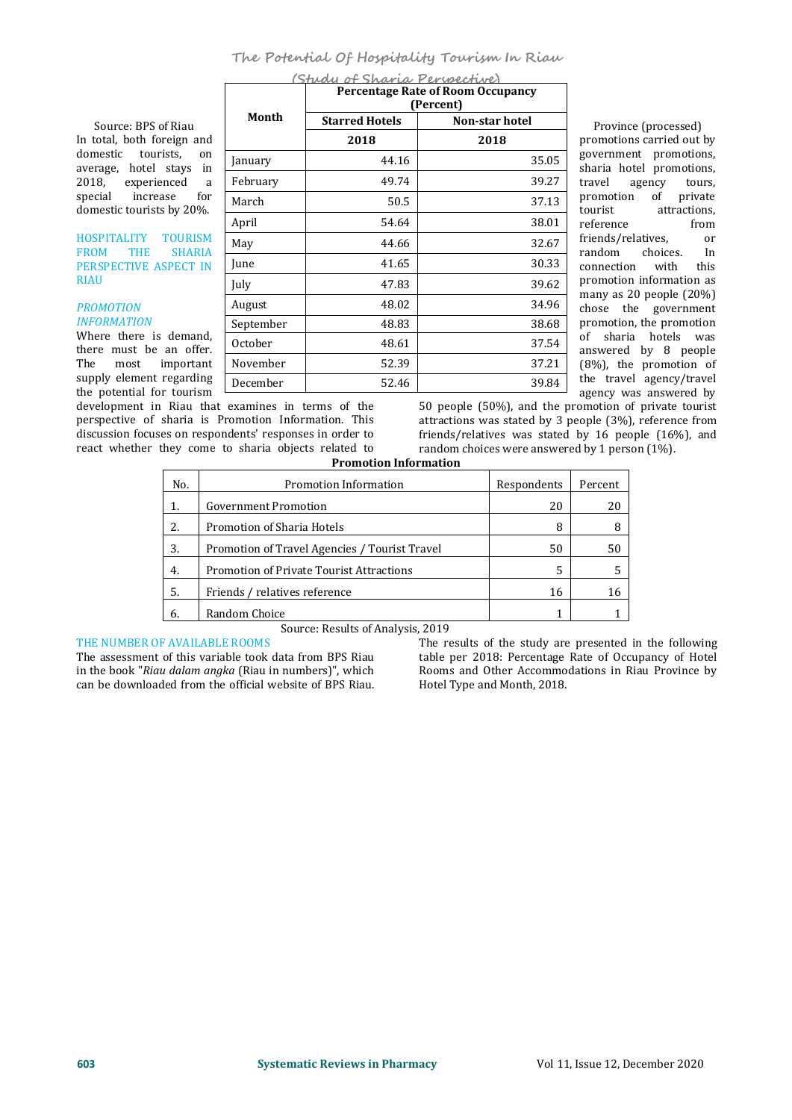# **The Potential Of Hospitality Tourism In Riau**

In total, both foreign and domestic tourists, on January average, hotel stays in  $\begin{array}{|l|c|c|c|c|}\n\hline\n2018, & \text{experienced} & a & \text{February} \\
\hline\n\end{array}$ 2018, experienced a<br>special increase for increase for  $\sqrt{\frac{M^2}{M}}$ domestic tourists by 20%.  $\frac{Mat}{\text{April}}$ 

FROM THE SHARIA FROM THE SHARIA PERSPECTIVE ASPECT IN<br>RIAU

# *PROMOTION INFORMATION*

Where there is demand,<br>there must be an offer.  $\begin{array}{|l|} \hline \text{October} \\ \hline \text{The most important} \\ \hline \end{array}$ important supply element regarding the potential for tourism

development in Riau that examines in terms of the perspective of sharia is Promotion Information. This discussion focuses on respondents' responses in order to react whether they come to sharia objects related to random<br>**Promotion Information** 

Iuly

**(Study of Sharia Perspective)** Source: BPS of Riau Province (processed)<br>total, both foreign and **Example 2018** 2018 2018 Province (processed) HOSPITALITY TOURISM May 144.66 promotions carried out by **2018 2018**  $\begin{array}{|c|c|c|c|c|}\n\hline\n\text{January} & 44.16 & 35.05 & \text{sharia hotel promotions,} \\
\hline\n\end{array}$  $\begin{array}{c|c|c|c|c|c} \hline \text{May} & 44.66 & 32.67 & \text{nensy features,} \\ \hline \text{random} & \text{choices.} & \text{In} \\ \hline \end{array}$  $\frac{30.33}{\text{connection}}$  with this July  $47.83$   $39.62$  promotion information as<br>many as 20 people (20%) August 48.02 48.02 34.96 chose the government September  $\vert$  48.83  $\vert$  38.68 promotion, the promotion  $\begin{array}{|c|c|c|c|c|c|}\n \hline\n \text{October} & & 48.61 & & 37.54 & \text{answered by 8 people}\n \end{array}$ November  $\vert$  52.39  $\vert$  37.21 (8%), the promotion of Month Starred Hotels **Percentage Rate of Room Occupancy (Percent) Non-star** hotel February  $49.74$   $39.27$  travel agency March  $50.5$   $50.5$   $37.13$   $50.15$   $50.5$ April  $54.64$   $38.01$  reference December | 52.46 39.84

government promotions, travel agency tours,<br>promotion of private promotion<br>tourist attractions,<br>from reference from<br>friends/relatives. or friends/relatives, or<br>random choices. In promotion information as of sharia hotels was the travel agency/travel agency was answered by

50 people (50%), and the promotion of private tourist attractions was stated by 3 people (3%), reference from friends/relatives was stated by 16 people (16%), and random choices were answered by 1 person (1%).

| No. | Promotion Information                         | Respondents | Percent |
|-----|-----------------------------------------------|-------------|---------|
| 1.  | Government Promotion                          | 20          | 20      |
| 2.  | Promotion of Sharia Hotels                    | 8           | 8       |
| 3.  | Promotion of Travel Agencies / Tourist Travel | 50          | 50      |
| 4.  | Promotion of Private Tourist Attractions      | 5           | 5       |
| 5.  | Friends / relatives reference                 | 16          | 16      |
| 6.  | Random Choice                                 |             |         |

### THE NUMBER OF AVAILABLE ROOMS

The assessment of this variable took data from BPS Riau in the book "*Riau dalam angka* (Riau in numbers)", which

Source: Results of Analysis, 2019 THE NUMBER OF AVAILABLE ROOMS<br>The results of the study are presented in the following<br>in the book "Riau dalam angka (Riau in numbers)", which<br>can be downloaded from the official website of BPS Riau. Hotel Type and Month, 2 table per 2018: Percentage Rate of Occupancy of Hotel Rooms and Other Accommodations in Riau Province by Hotel Type and Month, 2018.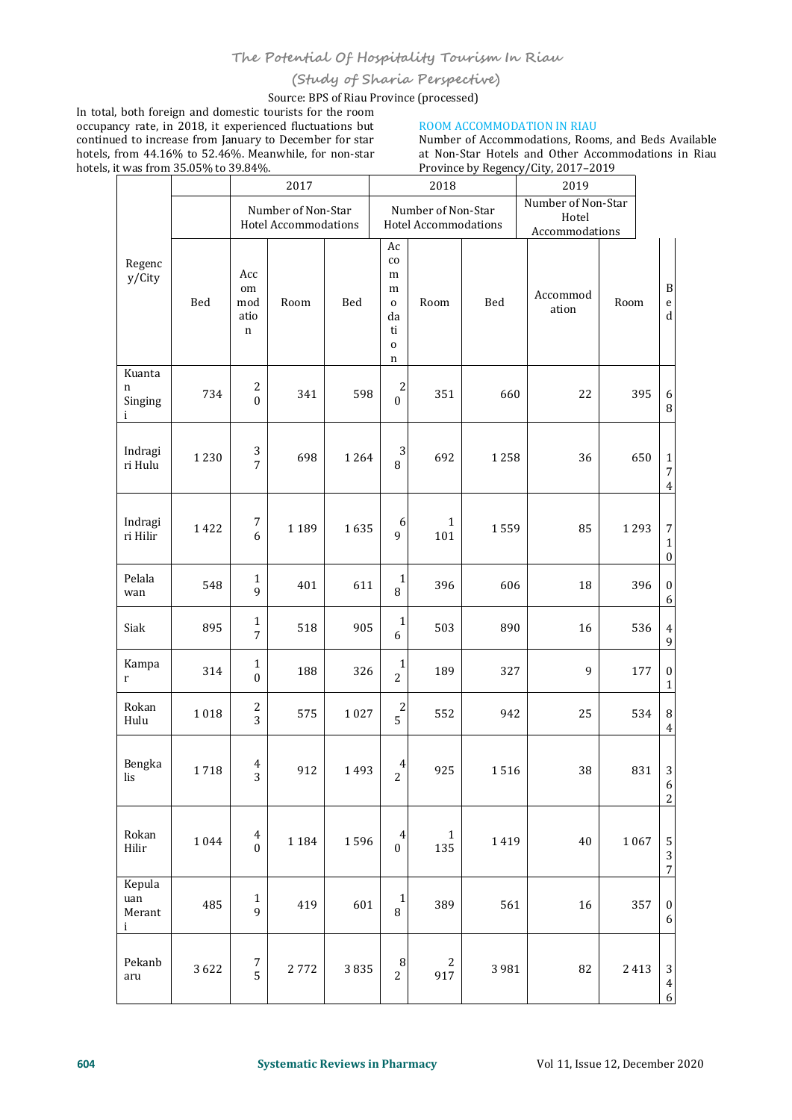# **(Study of Sharia Perspective)**

Source: BPS of Riau Province (processed)

In total, both foreign and domestic tourists for the room<br>
occupancy rate, in 2018, it experienced fluctuations but ROOM ACCOMMODATION IN RIAU occupancy rate, in 2018, it experienced fluctuations but continued to increase from January to December for star hotels, from 44.16% to 52.46%. Meanwhile, for non-star hotels, it was from 35.05% to 39.84%. occupancy rate, in 2018, it experienced fluctuations but<br>
continued to increase from January to December for star<br>
hotels, from 44.16% to 52.46%. Meanwhile, for non-star<br>
hotels, i<u>t was from 35.05% to 39.84%.<br>
Province by</u>

Number of Accommodations, Rooms, and Beds Available at Non-Star Hotels and Other Accommodations in Riau Province by Regency/City, 2017–2019

|                                         |      |                                             | 2017                                              |      | 2018                                                                        |                     |         | 2019                                          |      |      |                                                        |
|-----------------------------------------|------|---------------------------------------------|---------------------------------------------------|------|-----------------------------------------------------------------------------|---------------------|---------|-----------------------------------------------|------|------|--------------------------------------------------------|
|                                         |      |                                             | Number of Non-Star<br><b>Hotel Accommodations</b> |      | Number of Non-Star<br>Hotel Accommodations                                  |                     |         | Number of Non-Star<br>Hotel<br>Accommodations |      |      |                                                        |
| Regenc<br>y/City                        | Bed  | Acc<br>om<br>mod<br>atio<br>$\mathbf n$     | Room                                              | Bed  | Ac<br>$_{\rm co}$<br>m<br>m<br>$\mathbf 0$<br>da<br>ti<br>$\mathbf{o}$<br>n | Room                | Bed     | Accommod<br>ation                             | Room |      | $\, {\bf B}$<br>$\mathsf{e}% _{t}\left( t\right)$<br>d |
| Kuanta<br>$\mathbf n$<br>Singing<br>i   | 734  | 2<br>$\mathbf{0}$                           | 341                                               | 598  | $\overline{c}$<br>$\overline{0}$                                            | 351                 | 660     | 22                                            |      | 395  | 6<br>8                                                 |
| Indragi<br>ri Hulu                      | 1230 | 3<br>$\overline{7}$                         | 698                                               | 1264 | 3<br>8                                                                      | 692                 | 1258    | 36                                            |      | 650  | $\mathbf{1}$<br>$\overline{7}$<br>$\overline{4}$       |
| Indragi<br>ri Hilir                     | 1422 | $\boldsymbol{7}$<br>6                       | 1189                                              | 1635 | 6<br>9                                                                      | $\mathbf{1}$<br>101 | 1559    | 85                                            |      | 1293 | $\boldsymbol{7}$<br>$\mathbf{1}$<br>$\boldsymbol{0}$   |
| Pelala<br>wan                           | 548  | $\mathbf{1}$<br>9                           | 401                                               | 611  | $\begin{smallmatrix}1\\8\end{smallmatrix}$                                  | 396                 | 606     | 18                                            |      | 396  | $\boldsymbol{0}$<br>6                                  |
| Siak                                    | 895  | $\mathbf{1}$<br>$\overline{7}$              | 518                                               | 905  | $\mathbf{1}$<br>6                                                           | 503                 | 890     | 16                                            |      | 536  | $\overline{4}$<br>9                                    |
| Kampa<br>$\mathbf r$                    | 314  | $\mathbf{1}$<br>$\boldsymbol{0}$            | 188                                               | 326  | $\mathbf{1}$<br>$\overline{2}$                                              | 189                 | 327     | 9                                             |      | 177  | $\boldsymbol{0}$<br>$\mathbf{1}$                       |
| Rokan<br>Hulu                           | 1018 | $\frac{2}{3}$                               | 575                                               | 1027 | $\begin{array}{c} 2 \\ 5 \end{array}$                                       | 552                 | 942     | 25                                            |      | 534  | $\, 8$<br>4                                            |
| Bengka<br>$\,\mathrm{lis}$              | 1718 | 4<br>3                                      | 912                                               | 1493 | 4<br>$\overline{c}$                                                         | 925                 | 1516    | 38                                            |      | 831  | $\sqrt{3}$<br>$\boldsymbol{6}$<br>$\sqrt{2}$           |
| Rokan<br>Hilir                          | 1044 | $\overline{\mathbf{4}}$<br>$\boldsymbol{0}$ | 1184                                              | 1596 | 4<br>$\boldsymbol{0}$                                                       | $\mathbf{1}$<br>135 | 1419    | $40\,$                                        |      | 1067 | 5<br>$\sqrt{3}$<br>$\overline{7}$                      |
| Kepula<br>uan<br>Merant<br>$\mathbf{i}$ | 485  | $\mathbf 1$<br>9                            | 419                                               | 601  | $\mathbf{1}$<br>8                                                           | 389                 | 561     | 16                                            |      | 357  | $\boldsymbol{0}$<br>6                                  |
| Pekanb<br>aru                           | 3622 | $\begin{array}{c} 7 \\ 5 \end{array}$       | 2772                                              | 3835 | 8<br>$\overline{c}$                                                         | 2<br>917            | 3 9 8 1 | 82                                            |      | 2413 | $\mathbf{3}$<br>$\boldsymbol{4}$<br>$6 \mid$           |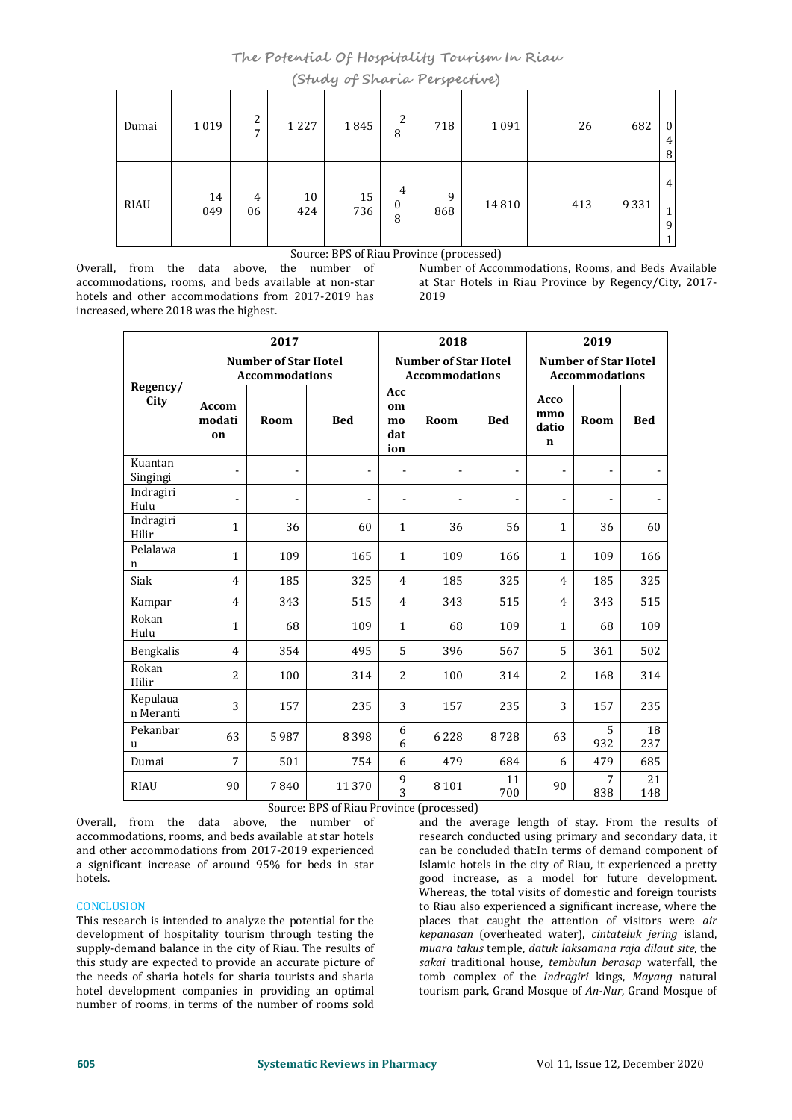**The Potential Of Hospitality Tourism In Riau (Study of Sharia Perspective)**

| Dumai | 1019      | C.<br>∠<br>$\overline{ }$ | $\sim$<br>1227 | $\tilde{\phantom{a}}$<br>1845 | 2<br>8      | . .<br>718 | $\sim$ $\sim$<br>1091 | 26  | 682  | $\bf{0}$<br>4<br>8                         |
|-------|-----------|---------------------------|----------------|-------------------------------|-------------|------------|-----------------------|-----|------|--------------------------------------------|
| RIAU  | 14<br>049 | 4<br>06                   | 10<br>424      | 15<br>736                     | 4<br>0<br>8 | 9<br>868   | 14810                 | 413 | 9331 | 4<br>$\blacktriangleleft$<br><b>T</b><br>9 |

Overall, from the data above, the number of Mumber of Accommodations, Rooms, and Beds Available accommodations, rooms, and beds available at non-star at Star Hotels in Riau Province by Regency/City, 2017accommodations, rooms, and beds available at non-star at Standard at Standard at Standard at Standard at Standard at Standard at Standard at Standard at Standard at Standard at Standard at Standard at Standard at Standard hotels and other accommodations from 2017-2019 has increased, where 2018 was the highest. Overall, from the data above, the number of Number of Accommodations, Rooms, and Beds Available accommodations, rooms, and beds available at non-star at Star Hotels in Riau Province by Regency/City, 2017-<br>hotels and other

Source: BPS of Riau Province (processed)<br>
e number of Number of Accommodations, Rooms, and Beds Available

|                         |                       | 2017                                                 |                |                                                      | 2018           |                | 2019                                                 |          |                |  |
|-------------------------|-----------------------|------------------------------------------------------|----------------|------------------------------------------------------|----------------|----------------|------------------------------------------------------|----------|----------------|--|
|                         |                       | <b>Number of Star Hotel</b><br><b>Accommodations</b> |                | <b>Number of Star Hotel</b><br><b>Accommodations</b> |                |                | <b>Number of Star Hotel</b><br><b>Accommodations</b> |          |                |  |
| Regency/<br>City        | Accom<br>modati<br>on | Room                                                 | <b>Bed</b>     | Acc<br>om<br>mo<br>dat<br>ion                        | Room           | <b>Bed</b>     | Acco<br>mmo<br>datio<br>$\mathbf n$                  | Room     | <b>Bed</b>     |  |
| Kuantan<br>Singingi     | ÷                     | $\blacksquare$                                       | $\blacksquare$ | $\blacksquare$                                       | $\blacksquare$ | $\blacksquare$ | $\blacksquare$                                       |          |                |  |
| Indragiri<br>Hulu       | $\blacksquare$        | ۰                                                    | $\blacksquare$ | $\blacksquare$                                       | $\blacksquare$ | $\blacksquare$ | $\blacksquare$                                       |          | $\blacksquare$ |  |
| Indragiri<br>Hilir      | $\mathbf{1}$          | 36                                                   | 60             | $\mathbf{1}$                                         | 36             | 56             | $\mathbf{1}$                                         | 36       | 60             |  |
| Pelalawa<br>$\mathbf n$ | $\mathbf{1}$          | 109                                                  | 165            | $\mathbf{1}$                                         | 109            | 166            | $\mathbf{1}$                                         | 109      | 166            |  |
| Siak                    | 4                     | 185                                                  | 325            | 4                                                    | 185            | 325            | $\overline{4}$                                       | 185      | 325            |  |
| Kampar                  | 4                     | 343                                                  | 515            | 4                                                    | 343            | 515            | $\overline{4}$                                       | 343      | 515            |  |
| Rokan<br>Hulu           | $\mathbf{1}$          | 68                                                   | 109            | $\mathbf{1}$                                         | 68             | 109            | $\mathbf{1}$                                         | 68       | 109            |  |
| Bengkalis               | 4                     | 354                                                  | 495            | 5                                                    | 396            | 567            | 5                                                    | 361      | 502            |  |
| Rokan<br>Hilir          | 2                     | 100                                                  | 314            | 2                                                    | 100            | 314            | $\overline{2}$                                       | 168      | 314            |  |
| Kepulaua<br>n Meranti   | 3                     | 157                                                  | 235            | 3                                                    | 157            | 235            | 3                                                    | 157      | 235            |  |
| Pekanbar<br>u           | 63                    | 5987                                                 | 8398           | 6<br>6                                               | 6228           | 8728           | 63                                                   | 5<br>932 | 18<br>237      |  |
| Dumai                   | $\overline{7}$        | 501                                                  | 754            | 6                                                    | 479            | 684            | 6                                                    | 479      | 685            |  |
| <b>RIAU</b>             | 90                    | 7840                                                 | 11 370         | 9<br>$\overline{3}$                                  | 8 1 0 1        | 11<br>700      | 90                                                   | 7<br>838 | 21<br>148      |  |

Source: BPS of Riau Province (processed)

Overall, from the data above, the number of accommodations, rooms, and beds available at star hotels and other accommodations from 2017-2019 experienced a significant increase of around 95% for beds in star hotels.

# CONCLUSION

This research is intended to analyze the potential for the development of hospitality tourism through testing the *kepanasan* (overheated water), *cintateluk jering* island, supply-demand balance in the city of Riau. The results of *muara takus* temple, *datuk laksamana raja dilau* supply-demand balance in the city of Riau. The results of this study are expected to provide an accurate picture of the needs of sharia hotels for sharia tourists and sharia hotel development companies in providing an optimal number of rooms, in terms of the number of rooms sold

and the average length of stay. From the results of research conducted using primary and secondary data, it can be concluded that:In terms of demand component of Islamic hotels in the city of Riau, it experienced a pretty good increase, as a model for future development. Whereas, the total visits of domestic and foreign tourists to Riau also experienced a significant increase, where the places that caught the attention of visitors were *air* kepanasan (overheated water), cintateluk jering island, *sakai* traditional house, *tembulun berasap* waterfall, the tomb complex of the *Indragiri* kings, *Mayang* natural tourism park, Grand Mosque of*An-Nur*, Grand Mosque of